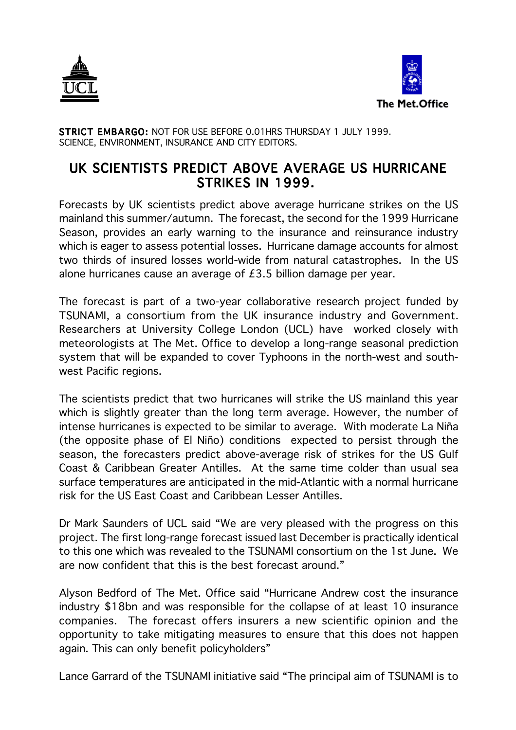



STRICT EMBARGO: NOT FOR USE BEFORE 0.01HRS THURSDAY 1 JULY 1999. SCIENCE, ENVIRONMENT, INSURANCE AND CITY EDITORS.

## UK SCIENTISTS PREDICT ABOVE AVERAGE US HURRICANE STRIKES IN 1999.

Forecasts by UK scientists predict above average hurricane strikes on the US mainland this summer/autumn. The forecast, the second for the 1999 Hurricane Season, provides an early warning to the insurance and reinsurance industry which is eager to assess potential losses. Hurricane damage accounts for almost two thirds of insured losses world-wide from natural catastrophes. In the US alone hurricanes cause an average of £3.5 billion damage per year.

The forecast is part of a two-year collaborative research project funded by TSUNAMI, a consortium from the UK insurance industry and Government. Researchers at University College London (UCL) have worked closely with meteorologists at The Met. Office to develop a long-range seasonal prediction system that will be expanded to cover Typhoons in the north-west and southwest Pacific regions.

The scientists predict that two hurricanes will strike the US mainland this year which is slightly greater than the long term average. However, the number of intense hurricanes is expected to be similar to average. With moderate La Niña (the opposite phase of El Niño) conditions expected to persist through the season, the forecasters predict above-average risk of strikes for the US Gulf Coast & Caribbean Greater Antilles. At the same time colder than usual sea surface temperatures are anticipated in the mid-Atlantic with a normal hurricane risk for the US East Coast and Caribbean Lesser Antilles.

Dr Mark Saunders of UCL said "We are very pleased with the progress on this project. The first long-range forecast issued last December is practically identical to this one which was revealed to the TSUNAMI consortium on the 1st June. We are now confident that this is the best forecast around."

Alyson Bedford of The Met. Office said "Hurricane Andrew cost the insurance industry \$18bn and was responsible for the collapse of at least 10 insurance companies. The forecast offers insurers a new scientific opinion and the opportunity to take mitigating measures to ensure that this does not happen again. This can only benefit policyholders"

Lance Garrard of the TSUNAMI initiative said "The principal aim of TSUNAMI is to